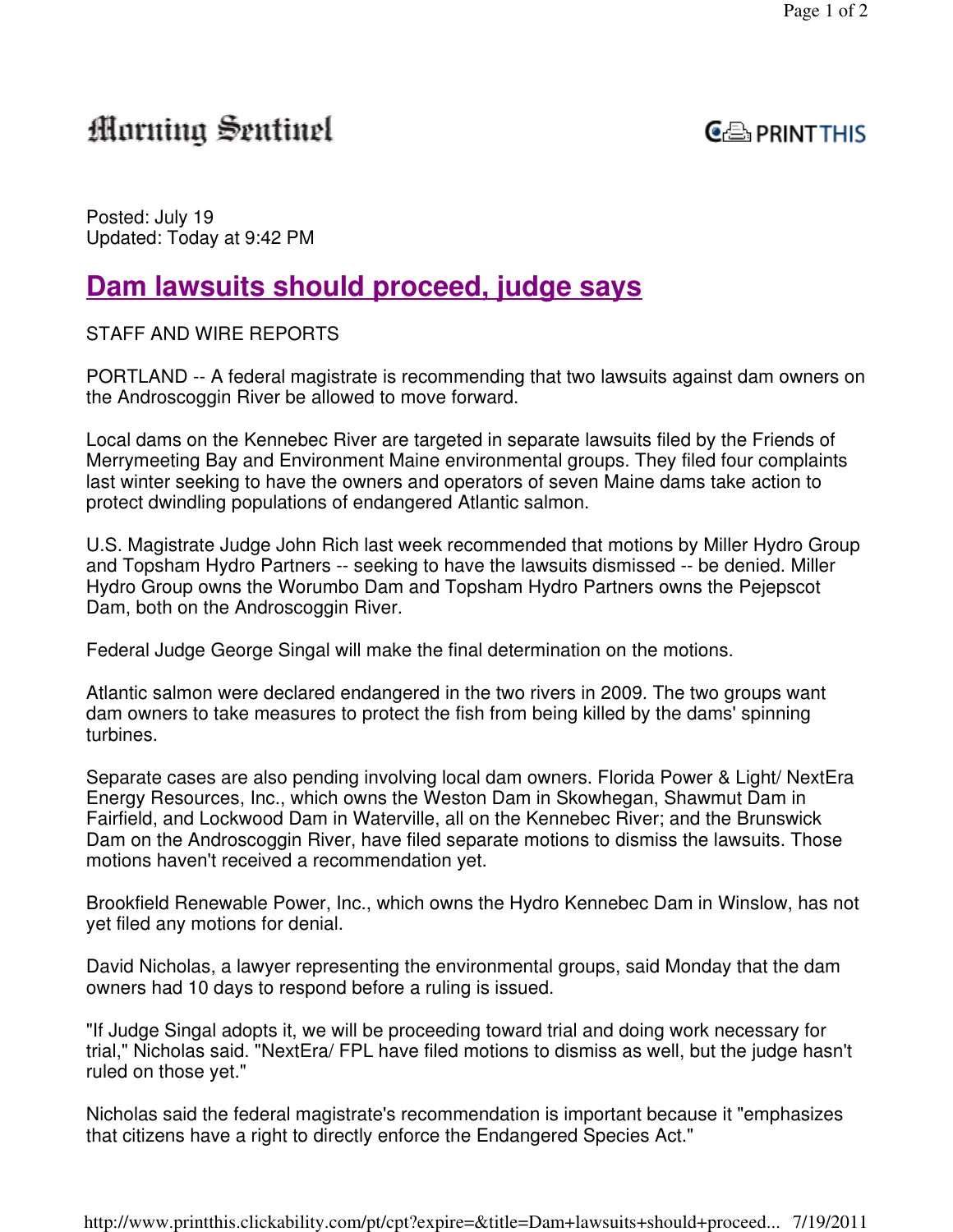# Morning Sentinel



Posted: July 19 Updated: Today at 9:42 PM

## **Dam lawsuits should proceed, judge says**

STAFF AND WIRE REPORTS

PORTLAND -- A federal magistrate is recommending that two lawsuits against dam owners on the Androscoggin River be allowed to move forward.

Local dams on the Kennebec River are targeted in separate lawsuits filed by the Friends of Merrymeeting Bay and Environment Maine environmental groups. They filed four complaints last winter seeking to have the owners and operators of seven Maine dams take action to protect dwindling populations of endangered Atlantic salmon.

U.S. Magistrate Judge John Rich last week recommended that motions by Miller Hydro Group and Topsham Hydro Partners -- seeking to have the lawsuits dismissed -- be denied. Miller Hydro Group owns the Worumbo Dam and Topsham Hydro Partners owns the Pejepscot Dam, both on the Androscoggin River.

Federal Judge George Singal will make the final determination on the motions.

Atlantic salmon were declared endangered in the two rivers in 2009. The two groups want dam owners to take measures to protect the fish from being killed by the dams' spinning turbines.

Separate cases are also pending involving local dam owners. Florida Power & Light/ NextEra Energy Resources, Inc., which owns the Weston Dam in Skowhegan, Shawmut Dam in Fairfield, and Lockwood Dam in Waterville, all on the Kennebec River; and the Brunswick Dam on the Androscoggin River, have filed separate motions to dismiss the lawsuits. Those motions haven't received a recommendation yet.

Brookfield Renewable Power, Inc., which owns the Hydro Kennebec Dam in Winslow, has not yet filed any motions for denial.

David Nicholas, a lawyer representing the environmental groups, said Monday that the dam owners had 10 days to respond before a ruling is issued.

"If Judge Singal adopts it, we will be proceeding toward trial and doing work necessary for trial," Nicholas said. "NextEra/ FPL have filed motions to dismiss as well, but the judge hasn't ruled on those yet."

Nicholas said the federal magistrate's recommendation is important because it "emphasizes that citizens have a right to directly enforce the Endangered Species Act."

http://www.printthis.clickability.com/pt/cpt?expire=&title=Dam+lawsuits+should+proceed... 7/19/2011